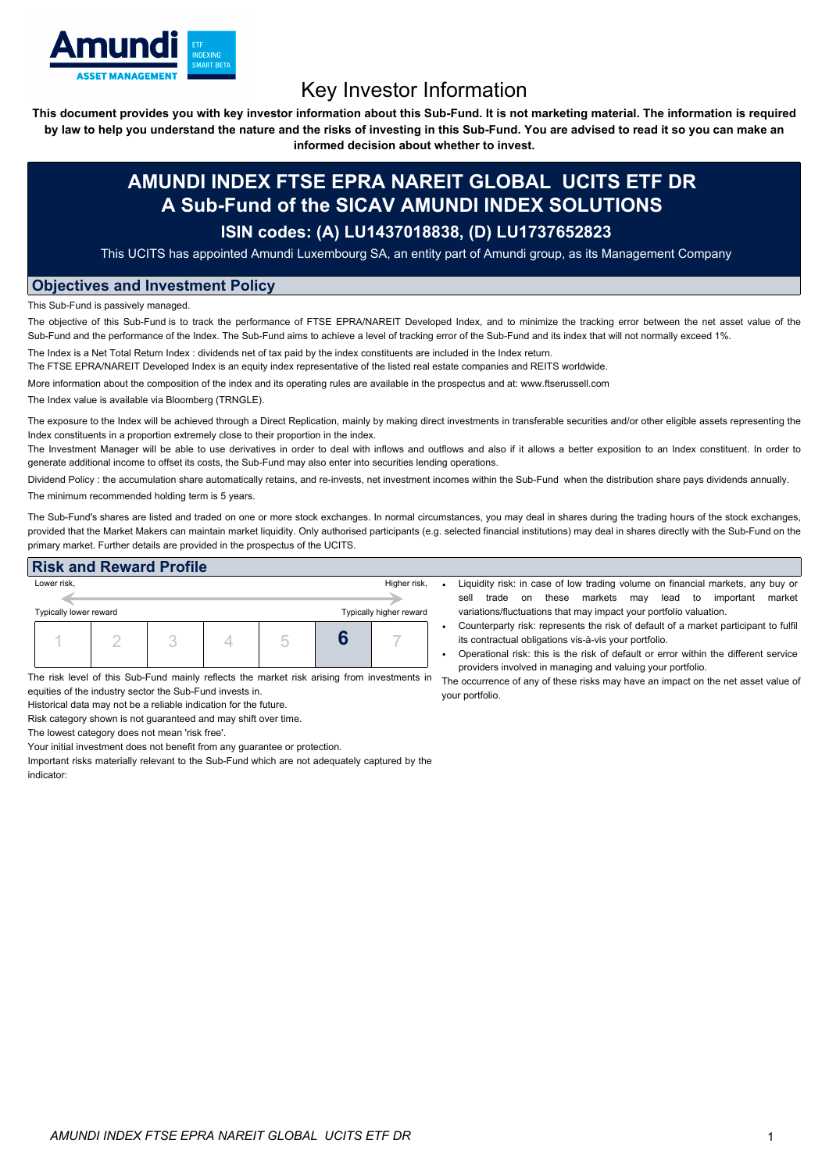

# Key Investor Information

This document provides you with key investor information about this Sub-Fund. It is not marketing material. The information is required by law to help you understand the nature and the risks of investing in this Sub-Fund. You are advised to read it so you can make an

**informed decision about whether to invest.**

## **AMUNDI INDEX FTSE EPRA NAREIT GLOBAL UCITS ETF DR A Sub-Fund of the SICAV AMUNDI INDEX SOLUTIONS**

### **ISIN codes: (A) LU1437018838, (D) LU1737652823**

This UCITS has appointed Amundi Luxembourg SA, an entity part of Amundi group, as its Management Company

#### **Objectives and Investment Policy**

This Sub-Fund is passively managed.

The objective of this Sub-Fund is to track the performance of FTSE EPRA/NAREIT Developed Index, and to minimize the tracking error between the net asset value of the Sub-Fund and the performance of the Index. The Sub-Fund aims to achieve a level of tracking error of the Sub-Fund and its index that will not normally exceed 1%.

The Index is a Net Total Return Index : dividends net of tax paid by the index constituents are included in the Index return.

The FTSE EPRA/NAREIT Developed Index is an equity index representative of the listed real estate companies and REITS worldwide.

More information about the composition of the index and its operating rules are available in the prospectus and at: www.ftserussell.com

The Index value is available via Bloomberg (TRNGLE).

The exposure to the Index will be achieved through a Direct Replication, mainly by making direct investments in transferable securities and/or other eligible assets representing the Index constituents in a proportion extremely close to their proportion in the index.

The Investment Manager will be able to use derivatives in order to deal with inflows and outflows and also if it allows a better exposition to an Index constituent. In order to generate additional income to offset its costs, the Sub-Fund may also enter into securities lending operations.

Dividend Policy : the accumulation share automatically retains, and re-invests, net investment incomes within the Sub-Fund when the distribution share pays dividends annually. The minimum recommended holding term is 5 years.

The Sub-Fund's shares are listed and traded on one or more stock exchanges. In normal circumstances, you may deal in shares during the trading hours of the stock exchanges, provided that the Market Makers can maintain market liquidity. Only authorised participants (e.g. selected financial institutions) may deal in shares directly with the Sub-Fund on the primary market. Further details are provided in the prospectus of the UCITS.

#### **Risk and Reward Profile**



Liquidity risk: in case of low trading volume on financial markets, any buy or sell trade on these markets may lead to important market variations/fluctuations that may impact your portfolio valuation.

- Counterparty risk: represents the risk of default of a market participant to fulfil its contractual obligations vis-à-vis your portfolio.
- Operational risk: this is the risk of default or error within the different service providers involved in managing and valuing your portfolio.

your portfolio.

The risk level of this Sub-Fund mainly reflects the market risk arising from investments in whe occurrence of any of these risks may have an impact on the net asset value of equities of the industry sector the Sub-Fund invests in.

Historical data may not be a reliable indication for the future.

Risk category shown is not guaranteed and may shift over time.

The lowest category does not mean 'risk free'.

Your initial investment does not benefit from any guarantee or protection.

Important risks materially relevant to the Sub-Fund which are not adequately captured by the indicator: